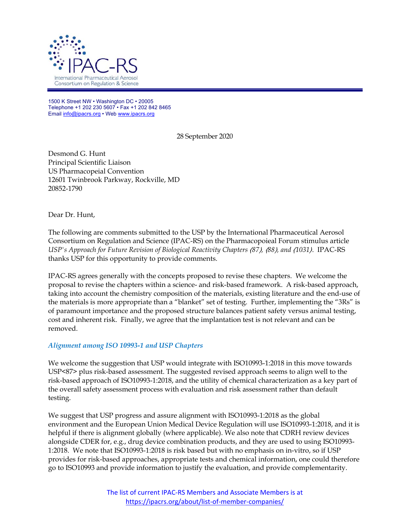

1500 K Street NW • Washington DC • 20005 Telephone +1 202 230 5607 • Fax +1 202 842 8465 Email info@ipacrs.org • Web www.ipacrs.org

28 September 2020

Desmond G. Hunt Principal Scientific Liaison US Pharmacopeial Convention 12601 Twinbrook Parkway, Rockville, MD 20852-1790

Dear Dr. Hunt,

The following are comments submitted to the USP by the International Pharmaceutical Aerosol Consortium on Regulation and Science (IPAC-RS) on the Pharmacopoieal Forum stimulus article *USP's Approach for Future Revision of Biological Reactivity Chapters* 〈*87*〉*,* 〈*88*〉*, and* 〈*1031*〉. IPAC-RS thanks USP for this opportunity to provide comments.

IPAC-RS agrees generally with the concepts proposed to revise these chapters. We welcome the proposal to revise the chapters within a science- and risk-based framework. A risk-based approach, taking into account the chemistry composition of the materials, existing literature and the end-use of the materials is more appropriate than a "blanket" set of testing. Further, implementing the "3Rs" is of paramount importance and the proposed structure balances patient safety versus animal testing, cost and inherent risk. Finally, we agree that the implantation test is not relevant and can be removed.

## *Alignment among ISO 10993-1 and USP Chapters*

We welcome the suggestion that USP would integrate with ISO10993-1:2018 in this move towards USP<87> plus risk-based assessment. The suggested revised approach seems to align well to the risk-based approach of ISO10993-1:2018, and the utility of chemical characterization as a key part of the overall safety assessment process with evaluation and risk assessment rather than default testing.

We suggest that USP progress and assure alignment with ISO10993-1:2018 as the global environment and the European Union Medical Device Regulation will use ISO10993-1:2018, and it is helpful if there is alignment globally (where applicable). We also note that CDRH review devices alongside CDER for, e.g., drug device combination products, and they are used to using ISO10993- 1:2018. We note that ISO10993-1:2018 is risk based but with no emphasis on in-vitro, so if USP provides for risk-based approaches, appropriate tests and chemical information, one could therefore go to ISO10993 and provide information to justify the evaluation, and provide complementarity.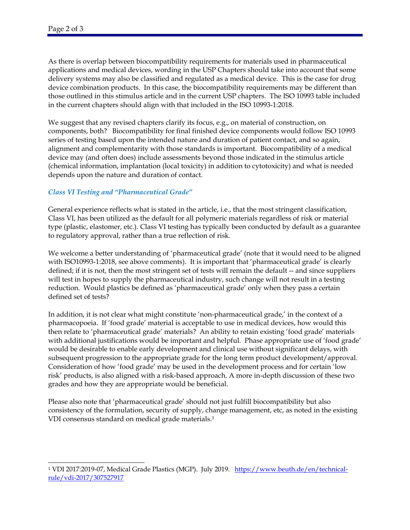As there is overlap between biocompatibility requirements for materials used in pharmaceutical applications and medical devices, wording in the USP Chapters should take into account that some delivery systems may also be classified and regulated as a medical device. This is the case for drug device combination products. In this case, the biocompatibility requirements may be different than those outlined in this stimulus article and in the current USP chapters. The ISO 10993 table included in the current chapters should align with that included in the ISO 10993-1:2018.

We suggest that any revised chapters clarify its focus, e.g., on material of construction, on components, both? Biocompatibility for final finished device components would follow ISO 10993 series of testing based upon the intended nature and duration of patient contact, and so again, alignment and complementarity with those standards is important. Biocompatibility of a medical device may (and often does) include assessments beyond those indicated in the stimulus article (chemical information, implantation (local toxicity) in addition to cytotoxicity) and what is needed depends upon the nature and duration of contact.

## *Class VI Testing and "Pharmaceutical Grade"*

General experience reflects what is stated in the article, i.e., that the most stringent classification, Class VI, has been utilized as the default for all polymeric materials regardless of risk or material type (plastic, elastomer, etc.). Class VI testing has typically been conducted by default as a guarantee to regulatory approval, rather than a true reflection of risk.

We welcome a better understanding of 'pharmaceutical grade' (note that it would need to be aligned with ISO10993-1:2018, see above comments). It is important that 'pharmaceutical grade' is clearly defined; if it is not, then the most stringent set of tests will remain the default -- and since suppliers will test in hopes to supply the pharmaceutical industry, such change will not result in a testing reduction. Would plastics be defined as 'pharmaceutical grade' only when they pass a certain defined set of tests?

In addition, it is not clear what might constitute 'non-pharmaceutical grade,' in the context of a pharmacopoeia. If 'food grade' material is acceptable to use in medical devices, how would this then relate to 'pharmaceutical grade' materials? An ability to retain existing 'food grade' materials with additional justifications would be important and helpful. Phase appropriate use of 'food grade' would be desirable to enable early development and clinical use without significant delays, with subsequent progression to the appropriate grade for the long term product development/approval. Consideration of how 'food grade' may be used in the development process and for certain 'low risk' products, is also aligned with a risk-based approach. A more in-depth discussion of these two grades and how they are appropriate would be beneficial.

Please also note that 'pharmaceutical grade' should not just fulfill biocompatibility but also consistency of the formulation, security of supply, change management, etc, as noted in the existing VDI consensus standard on medical grade materials.1

 $\overline{a}$ <sup>1</sup> VDI 2017:2019-07, Medical Grade Plastics (MGP). July 2019. https://www.beuth.de/en/technicalrule/vdi-2017/307527917